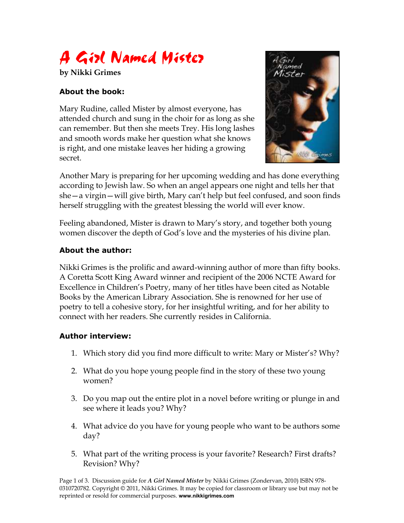

## **About the book:**

Mary Rudine, called Mister by almost everyone, has attended church and sung in the choir for as long as she can remember. But then she meets Trey. His long lashes and smooth words make her question what she knows is right, and one mistake leaves her hiding a growing secret.



Another Mary is preparing for her upcoming wedding and has done everything according to Jewish law. So when an angel appears one night and tells her that she—a virgin—will give birth, Mary can't help but feel confused, and soon finds herself struggling with the greatest blessing the world will ever know.

Feeling abandoned, Mister is drawn to Mary's story, and together both young women discover the depth of God's love and the mysteries of his divine plan.

## **About the author:**

Nikki Grimes is the prolific and award-winning author of more than fifty books. A Coretta Scott King Award winner and recipient of the 2006 NCTE Award for Excellence in Children's Poetry, many of her titles have been cited as Notable Books by the American Library Association. She is renowned for her use of poetry to tell a cohesive story, for her insightful writing, and for her ability to connect with her readers. She currently resides in California.

## **Author interview:**

- 1. Which story did you find more difficult to write: Mary or Mister's? Why?
- 2. What do you hope young people find in the story of these two young women?
- 3. Do you map out the entire plot in a novel before writing or plunge in and see where it leads you? Why?
- 4. What advice do you have for young people who want to be authors some day?
- 5. What part of the writing process is your favorite? Research? First drafts? Revision? Why?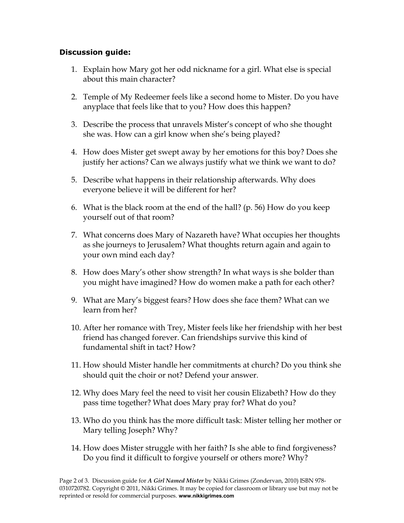## **Discussion guide:**

- 1. Explain how Mary got her odd nickname for a girl. What else is special about this main character?
- 2. Temple of My Redeemer feels like a second home to Mister. Do you have anyplace that feels like that to you? How does this happen?
- 3. Describe the process that unravels Mister's concept of who she thought she was. How can a girl know when she's being played?
- 4. How does Mister get swept away by her emotions for this boy? Does she justify her actions? Can we always justify what we think we want to do?
- 5. Describe what happens in their relationship afterwards. Why does everyone believe it will be different for her?
- 6. What is the black room at the end of the hall? (p. 56) How do you keep yourself out of that room?
- 7. What concerns does Mary of Nazareth have? What occupies her thoughts as she journeys to Jerusalem? What thoughts return again and again to your own mind each day?
- 8. How does Mary's other show strength? In what ways is she bolder than you might have imagined? How do women make a path for each other?
- 9. What are Mary's biggest fears? How does she face them? What can we learn from her?
- 10. After her romance with Trey, Mister feels like her friendship with her best friend has changed forever. Can friendships survive this kind of fundamental shift in tact? How?
- 11. How should Mister handle her commitments at church? Do you think she should quit the choir or not? Defend your answer.
- 12. Why does Mary feel the need to visit her cousin Elizabeth? How do they pass time together? What does Mary pray for? What do you?
- 13. Who do you think has the more difficult task: Mister telling her mother or Mary telling Joseph? Why?
- 14. How does Mister struggle with her faith? Is she able to find forgiveness? Do you find it difficult to forgive yourself or others more? Why?